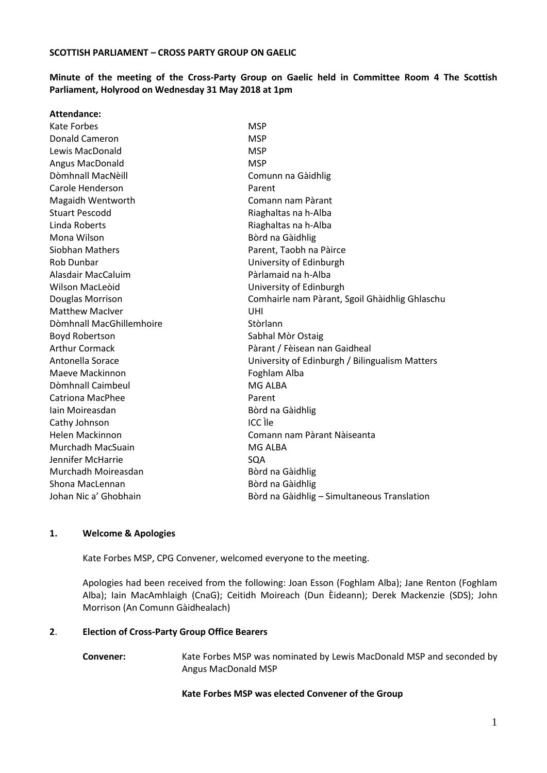### **Minute of the meeting of the Cross-Party Group on Gaelic held in Committee Room 4 The Scottish Parliament, Holyrood on Wednesday 31 May 2018 at 1pm**

| <b>Attendance:</b>       |                                                |
|--------------------------|------------------------------------------------|
| Kate Forbes              | <b>MSP</b>                                     |
| Donald Cameron           | <b>MSP</b>                                     |
| Lewis MacDonald          | <b>MSP</b>                                     |
| Angus MacDonald          | <b>MSP</b>                                     |
| Dòmhnall MacNèill        | Comunn na Gàidhlig                             |
| Carole Henderson         | Parent                                         |
| Magaidh Wentworth        | Comann nam Pàrant                              |
| <b>Stuart Pescodd</b>    | Riaghaltas na h-Alba                           |
| Linda Roberts            | Riaghaltas na h-Alba                           |
| Mona Wilson              | Bòrd na Gàidhlig                               |
| Siobhan Mathers          | Parent, Taobh na Pàirce                        |
| Rob Dunbar               | University of Edinburgh                        |
| Alasdair MacCaluim       | Pàrlamaid na h-Alba                            |
| Wilson MacLeoid          | University of Edinburgh                        |
| Douglas Morrison         | Comhairle nam Pàrant, Sgoil Ghàidhlig Ghlaschu |
| <b>Matthew MacIver</b>   | <b>UHI</b>                                     |
| Dòmhnall MacGhillemhoire | Stòrlann                                       |
| Boyd Robertson           | Sabhal Mòr Ostaig                              |
| <b>Arthur Cormack</b>    | Pàrant / Fèisean nan Gaidheal                  |
| Antonella Sorace         | University of Edinburgh / Bilingualism Matters |
| Maeve Mackinnon          | Foghlam Alba                                   |
| Dòmhnall Caimbeul        | MG ALBA                                        |
| <b>Catriona MacPhee</b>  | Parent                                         |
| lain Moireasdan          | Bòrd na Gàidhlig                               |
| Cathy Johnson            | ICC lle                                        |
| Helen Mackinnon          | Comann nam Pàrant Nàiseanta                    |
| Murchadh MacSuain        | MG ALBA                                        |
| Jennifer McHarrie        | SQA                                            |
| Murchadh Moireasdan      | Bòrd na Gàidhlig                               |
| Shona MacLennan          | Bòrd na Gàidhlig                               |
| Johan Nic a' Ghobhain    | Bòrd na Gàidhlig - Simultaneous Translation    |
|                          |                                                |

#### **1. Welcome & Apologies**

Kate Forbes MSP, CPG Convener, welcomed everyone to the meeting.

Apologies had been received from the following: Joan Esson (Foghlam Alba); Jane Renton (Foghlam Alba); Iain MacAmhlaigh (CnaG); Ceitidh Moireach (Dun Èideann); Derek Mackenzie (SDS); John Morrison (An Comunn Gàidhealach)

#### **2**. **Election of Cross-Party Group Office Bearers**

**Convener:** Kate Forbes MSP was nominated by Lewis MacDonald MSP and seconded by Angus MacDonald MSP

#### **Kate Forbes MSP was elected Convener of the Group**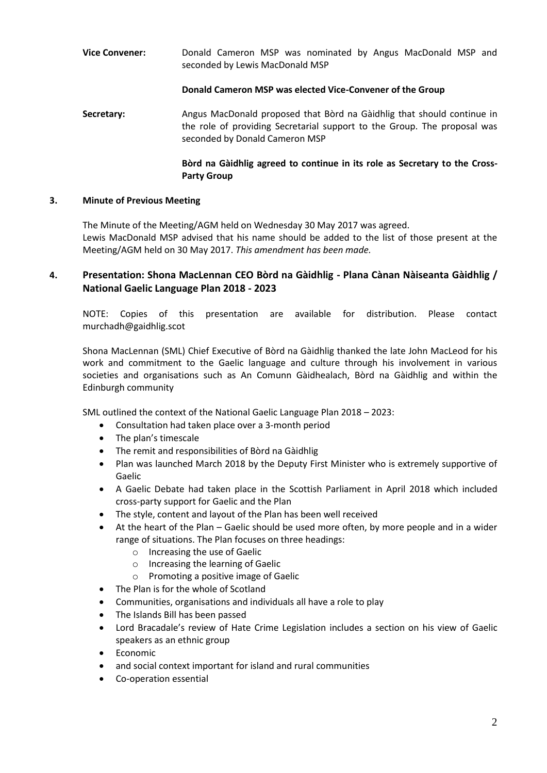# **Vice Convener:** Donald Cameron MSP was nominated by Angus MacDonald MSP and seconded by Lewis MacDonald MSP

## **Donald Cameron MSP was elected Vice-Convener of the Group**

Secretary: Angus MacDonald proposed that Bòrd na Gàidhlig that should continue in the role of providing Secretarial support to the Group. The proposal was seconded by Donald Cameron MSP

## **Bòrd na Gàidhlig agreed to continue in its role as Secretary to the Cross-Party Group**

### **3. Minute of Previous Meeting**

The Minute of the Meeting/AGM held on Wednesday 30 May 2017 was agreed. Lewis MacDonald MSP advised that his name should be added to the list of those present at the Meeting/AGM held on 30 May 2017. *This amendment has been made.*

# **4. Presentation: Shona MacLennan CEO Bòrd na Gàidhlig - Plana Cànan Nàiseanta Gàidhlig / National Gaelic Language Plan 2018 - 2023**

NOTE: Copies of this presentation are available for distribution. Please contact murchadh@gaidhlig.scot

Shona MacLennan (SML) Chief Executive of Bòrd na Gàidhlig thanked the late John MacLeod for his work and commitment to the Gaelic language and culture through his involvement in various societies and organisations such as An Comunn Gàidhealach, Bòrd na Gàidhlig and within the Edinburgh community

SML outlined the context of the National Gaelic Language Plan 2018 – 2023:

- Consultation had taken place over a 3-month period
- The plan's timescale
- The remit and responsibilities of Bòrd na Gàidhlig
- Plan was launched March 2018 by the Deputy First Minister who is extremely supportive of Gaelic
- A Gaelic Debate had taken place in the Scottish Parliament in April 2018 which included cross-party support for Gaelic and the Plan
- The style, content and layout of the Plan has been well received
- At the heart of the Plan Gaelic should be used more often, by more people and in a wider range of situations. The Plan focuses on three headings:
	- o Increasing the use of Gaelic
	- o Increasing the learning of Gaelic
	- o Promoting a positive image of Gaelic
- The Plan is for the whole of Scotland
- Communities, organisations and individuals all have a role to play
- The Islands Bill has been passed
- Lord Bracadale's review of Hate Crime Legislation includes a section on his view of Gaelic speakers as an ethnic group
- **Economic**
- and social context important for island and rural communities
- Co-operation essential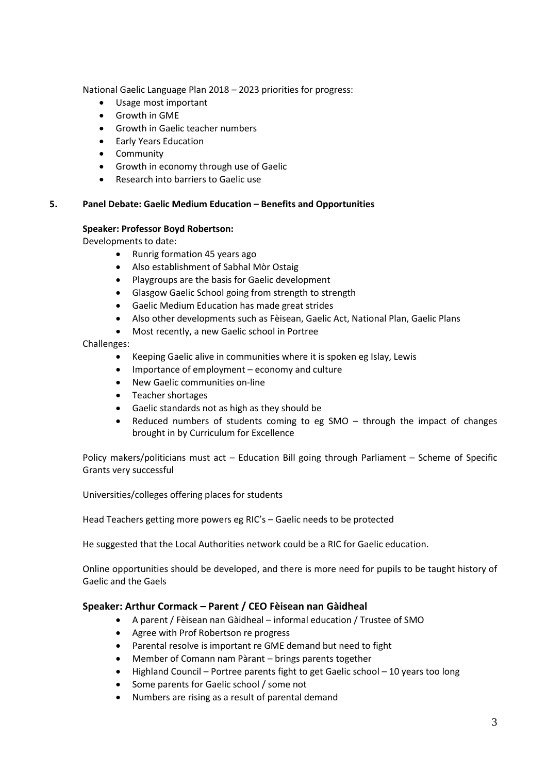National Gaelic Language Plan 2018 – 2023 priorities for progress:

- Usage most important
- Growth in GME
- Growth in Gaelic teacher numbers
- Early Years Education
- Community
- Growth in economy through use of Gaelic
- Research into barriers to Gaelic use

#### **5. Panel Debate: Gaelic Medium Education – Benefits and Opportunities**

#### **Speaker: Professor Boyd Robertson:**

Developments to date:

- Runrig formation 45 years ago
- Also establishment of Sabhal Mòr Ostaig
- Playgroups are the basis for Gaelic development
- Glasgow Gaelic School going from strength to strength
- Gaelic Medium Education has made great strides
- Also other developments such as Fèisean, Gaelic Act, National Plan, Gaelic Plans
- Most recently, a new Gaelic school in Portree

#### Challenges:

- Keeping Gaelic alive in communities where it is spoken eg Islay, Lewis
- Importance of employment economy and culture
- New Gaelic communities on-line
- Teacher shortages
- Gaelic standards not as high as they should be
- Reduced numbers of students coming to eg SMO  $-$  through the impact of changes brought in by Curriculum for Excellence

Policy makers/politicians must act – Education Bill going through Parliament – Scheme of Specific Grants very successful

Universities/colleges offering places for students

Head Teachers getting more powers eg RIC's – Gaelic needs to be protected

He suggested that the Local Authorities network could be a RIC for Gaelic education.

Online opportunities should be developed, and there is more need for pupils to be taught history of Gaelic and the Gaels

#### **Speaker: Arthur Cormack – Parent / CEO Fèisean nan Gàidheal**

- A parent / Fèisean nan Gàidheal informal education / Trustee of SMO
- Agree with Prof Robertson re progress
- Parental resolve is important re GME demand but need to fight
- Member of Comann nam Pàrant brings parents together
- Highland Council Portree parents fight to get Gaelic school 10 years too long
- Some parents for Gaelic school / some not
- Numbers are rising as a result of parental demand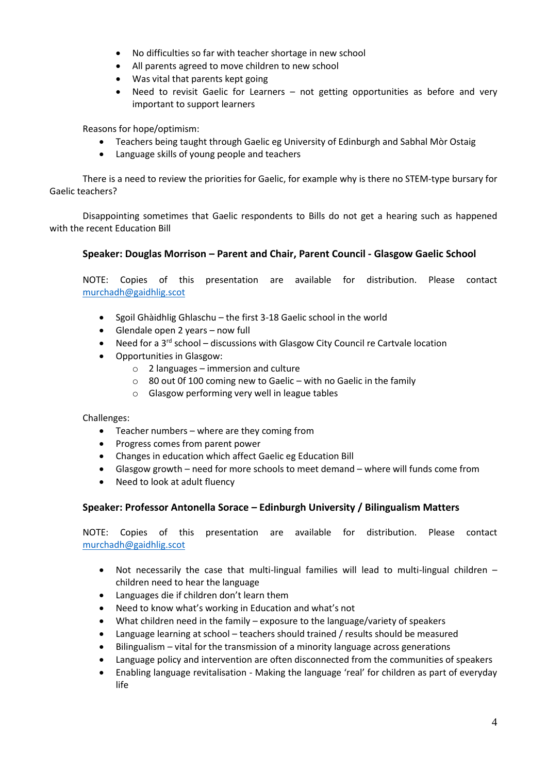- No difficulties so far with teacher shortage in new school
- All parents agreed to move children to new school
- Was vital that parents kept going
- Need to revisit Gaelic for Learners not getting opportunities as before and very important to support learners

Reasons for hope/optimism:

- Teachers being taught through Gaelic eg University of Edinburgh and Sabhal Mòr Ostaig
- Language skills of young people and teachers

There is a need to review the priorities for Gaelic, for example why is there no STEM-type bursary for Gaelic teachers?

Disappointing sometimes that Gaelic respondents to Bills do not get a hearing such as happened with the recent Education Bill

# **Speaker: Douglas Morrison – Parent and Chair, Parent Council - Glasgow Gaelic School**

NOTE: Copies of this presentation are available for distribution. Please contact [murchadh@gaidhlig.scot](mailto:murchadh@gaidhlig.scot)

- Sgoil Ghàidhlig Ghlaschu the first 3-18 Gaelic school in the world
- Glendale open 2 years now full
- Need for a  $3^{rd}$  school discussions with Glasgow City Council re Cartvale location
- Opportunities in Glasgow:
	- $\circ$  2 languages immersion and culture
	- $\circ$  80 out 0f 100 coming new to Gaelic with no Gaelic in the family
	- o Glasgow performing very well in league tables

Challenges:

- Teacher numbers where are they coming from
- Progress comes from parent power
- Changes in education which affect Gaelic eg Education Bill
- Glasgow growth need for more schools to meet demand where will funds come from
- Need to look at adult fluency

## **Speaker: Professor Antonella Sorace – Edinburgh University / Bilingualism Matters**

NOTE: Copies of this presentation are available for distribution. Please contact [murchadh@gaidhlig.scot](mailto:murchadh@gaidhlig.scot)

- Not necessarily the case that multi-lingual families will lead to multi-lingual children children need to hear the language
- Languages die if children don't learn them
- Need to know what's working in Education and what's not
- What children need in the family exposure to the language/variety of speakers
- Language learning at school teachers should trained / results should be measured
- Bilingualism vital for the transmission of a minority language across generations
- Language policy and intervention are often disconnected from the communities of speakers
- Enabling language revitalisation Making the language 'real' for children as part of everyday life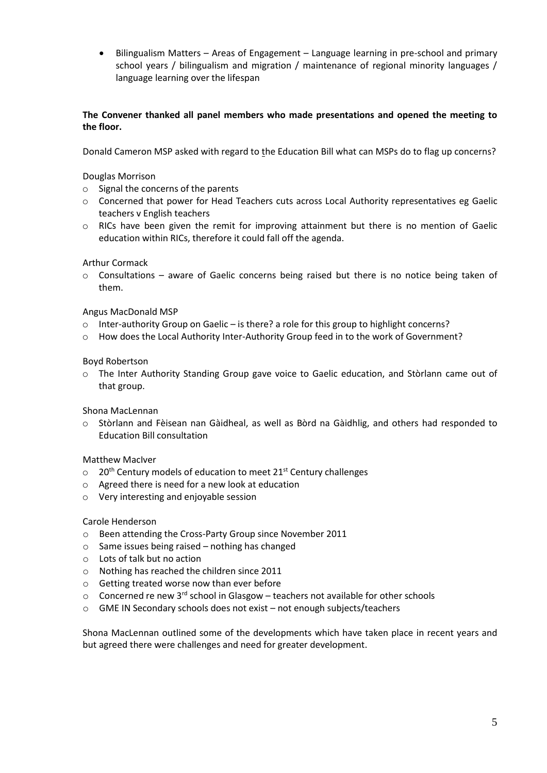• Bilingualism Matters – Areas of Engagement – Language learning in pre-school and primary school years / bilingualism and migration / maintenance of regional minority languages / language learning over the lifespan

### **The Convener thanked all panel members who made presentations and opened the meeting to the floor.**

Donald Cameron MSP asked with regard to the Education Bill what can MSPs do to flag up concerns?

#### Douglas Morrison

- o Signal the concerns of the parents
- o Concerned that power for Head Teachers cuts across Local Authority representatives eg Gaelic teachers v English teachers
- o RICs have been given the remit for improving attainment but there is no mention of Gaelic education within RICs, therefore it could fall off the agenda.

#### Arthur Cormack

 $\circ$  Consultations – aware of Gaelic concerns being raised but there is no notice being taken of them.

### Angus MacDonald MSP

- o Inter-authority Group on Gaelic is there? a role for this group to highlight concerns?
- o How does the Local Authority Inter-Authority Group feed in to the work of Government?

#### Boyd Robertson

o The Inter Authority Standing Group gave voice to Gaelic education, and Stòrlann came out of that group.

#### Shona MacLennan

o Stòrlann and Fèisean nan Gàidheal, as well as Bòrd na Gàidhlig, and others had responded to Education Bill consultation

## Matthew MacIver

- $\circ$  20<sup>th</sup> Century models of education to meet 21<sup>st</sup> Century challenges
- o Agreed there is need for a new look at education
- o Very interesting and enjoyable session

#### Carole Henderson

- o Been attending the Cross-Party Group since November 2011
- o Same issues being raised nothing has changed
- o Lots of talk but no action
- o Nothing has reached the children since 2011
- o Getting treated worse now than ever before
- $\circ$  Concerned re new 3<sup>rd</sup> school in Glasgow teachers not available for other schools
- o GME IN Secondary schools does not exist not enough subjects/teachers

Shona MacLennan outlined some of the developments which have taken place in recent years and but agreed there were challenges and need for greater development.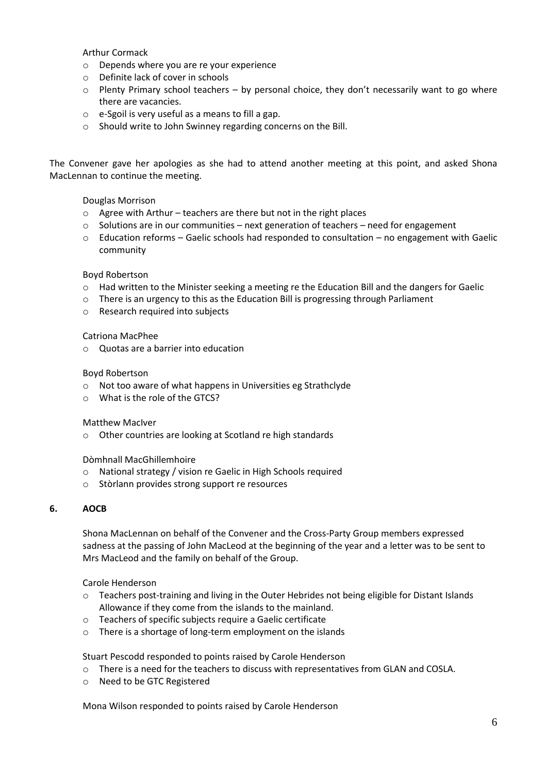Arthur Cormack

- o Depends where you are re your experience
- o Definite lack of cover in schools
- $\circ$  Plenty Primary school teachers by personal choice, they don't necessarily want to go where there are vacancies.
- o e-Sgoil is very useful as a means to fill a gap.
- o Should write to John Swinney regarding concerns on the Bill.

The Convener gave her apologies as she had to attend another meeting at this point, and asked Shona MacLennan to continue the meeting.

#### Douglas Morrison

- o Agree with Arthur teachers are there but not in the right places
- o Solutions are in our communities next generation of teachers need for engagement
- $\circ$  Education reforms Gaelic schools had responded to consultation no engagement with Gaelic community

#### Boyd Robertson

- o Had written to the Minister seeking a meeting re the Education Bill and the dangers for Gaelic
- $\circ$  There is an urgency to this as the Education Bill is progressing through Parliament
- o Research required into subjects

#### Catriona MacPhee

o Quotas are a barrier into education

#### Boyd Robertson

- o Not too aware of what happens in Universities eg Strathclyde
- o What is the role of the GTCS?

#### Matthew MacIver

o Other countries are looking at Scotland re high standards

Dòmhnall MacGhillemhoire

- o National strategy / vision re Gaelic in High Schools required
- o Stòrlann provides strong support re resources

### **6. AOCB**

Shona MacLennan on behalf of the Convener and the Cross-Party Group members expressed sadness at the passing of John MacLeod at the beginning of the year and a letter was to be sent to Mrs MacLeod and the family on behalf of the Group.

Carole Henderson

- $\circ$  Teachers post-training and living in the Outer Hebrides not being eligible for Distant Islands Allowance if they come from the islands to the mainland.
- o Teachers of specific subjects require a Gaelic certificate
- o There is a shortage of long-term employment on the islands

Stuart Pescodd responded to points raised by Carole Henderson

- $\circ$  There is a need for the teachers to discuss with representatives from GLAN and COSLA.
- o Need to be GTC Registered

Mona Wilson responded to points raised by Carole Henderson